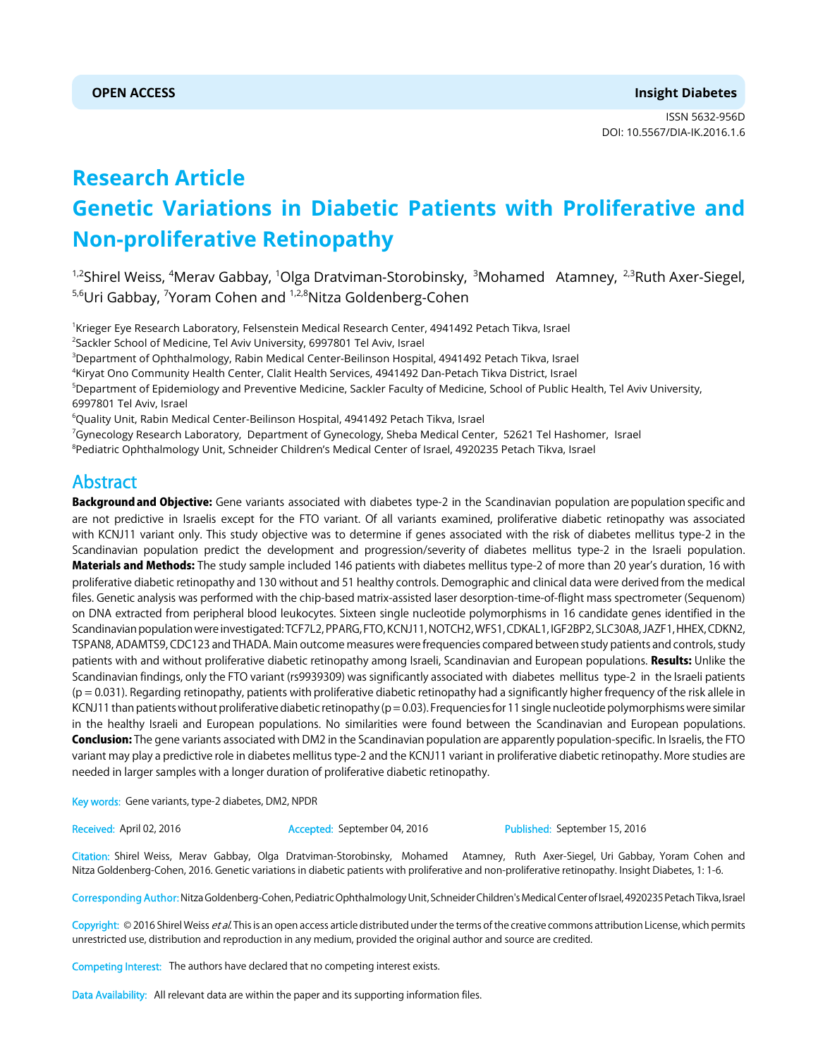ISSN 5632-956D DOI: 10.5567/DIA-IK.2016.1.6

# **Research Article Genetic Variations in Diabetic Patients with Proliferative and Non-proliferative Retinopathy**

<sup>1,2</sup>Shirel Weiss, <sup>4</sup>Merav Gabbay, <sup>1</sup>Olga Dratviman-Storobinsky, <sup>3</sup>Mohamed Atamney, <sup>2,3</sup>Ruth Axer-Siegel, <sup>5,6</sup>Uri Gabbay, <sup>7</sup>Yoram Cohen and <sup>1,2,8</sup>Nitza Goldenberg-Cohen

1 Krieger Eye Research Laboratory, Felsenstein Medical Research Center, 4941492 Petach Tikva, Israel

 $^2$ Sackler School of Medicine, Tel Aviv University, 6997801 Tel Aviv, Israel

3 Department of Ophthalmology, Rabin Medical Center-Beilinson Hospital, 4941492 Petach Tikva, Israel

4 Kiryat Ono Community Health Center, Clalit Health Services, 4941492 Dan-Petach Tikva District, Israel

5 Department of Epidemiology and Preventive Medicine, Sackler Faculty of Medicine, School of Public Health, Tel Aviv University, 6997801 Tel Aviv, Israel

 $^6$ Quality Unit, Rabin Medical Center-Beilinson Hospital, 4941492 Petach Tikva, Israel

7 Gynecology Research Laboratory, Department of Gynecology, Sheba Medical Center, 52621 Tel Hashomer, Israel

<sup>8</sup>Pediatric Ophthalmology Unit, Schneider Children's Medical Center of Israel, 4920235 Petach Tikva, Israel

# Abstract

**Background and Objective:** Gene variants associated with diabetes type-2 in the Scandinavian population are population specific and are not predictive in Israelis except for the FTO variant. Of all variants examined, proliferative diabetic retinopathy was associated with KCNJ11 variant only. This study objective was to determine if genes associated with the risk of diabetes mellitus type-2 in the Scandinavian population predict the development and progression/severity of diabetes mellitus type-2 in the Israeli population. Materials and Methods: The study sample included 146 patients with diabetes mellitus type-2 of more than 20 year's duration, 16 with proliferative diabetic retinopathy and 130 without and 51 healthy controls. Demographic and clinical data were derived from the medical files. Genetic analysis was performed with the chip-based matrix-assisted laser desorption-time-of-flight mass spectrometer (Sequenom) on DNA extracted from peripheral blood leukocytes. Sixteen single nucleotide polymorphisms in 16 candidate genes identified in the Scandinavian population were investigated: TCF7L2, PPARG, FTO, KCNJ11, NOTCH2, WFS1, CDKAL1, IGF2BP2, SLC30A8, JAZF1, HHEX, CDKN2, TSPAN8, ADAMTS9, CDC123 and THADA. Main outcome measures were frequencies compared between study patients and controls, study patients with and without proliferative diabetic retinopathy among Israeli, Scandinavian and European populations. Results: Unlike the Scandinavian findings, only the FTO variant (rs9939309) was significantly associated with diabetes mellitus type-2 in the Israeli patients  $(p = 0.031)$ . Regarding retinopathy, patients with proliferative diabetic retinopathy had a significantly higher frequency of the risk allele in KCNJ11 than patients without proliferative diabetic retinopathy ( $p = 0.03$ ). Frequencies for 11 single nucleotide polymorphisms were similar in the healthy Israeli and European populations. No similarities were found between the Scandinavian and European populations. Conclusion: The gene variants associated with DM2 in the Scandinavian population are apparently population-specific. In Israelis, the FTO variant may play a predictive role in diabetes mellitus type-2 and the KCNJ11 variant in proliferative diabetic retinopathy. More studies are needed in larger samples with a longer duration of proliferative diabetic retinopathy.

Key words: Gene variants, type-2 diabetes, DM2, NPDR

Received: April 02, 2016 **Accepted: September 04, 2016** Published: September 15, 2016

Citation: Shirel Weiss, Merav Gabbay, Olga Dratviman-Storobinsky, Mohamed Atamney, Ruth Axer-Siegel, Uri Gabbay, Yoram Cohen and Nitza Goldenberg-Cohen, 2016. Genetic variations in diabetic patients with proliferative and non-proliferative retinopathy. Insight Diabetes, 1: 1-6.

Corresponding Author: Nitza Goldenberg-Cohen, Pediatric Ophthalmology Unit, Schneider Children's Medical Center of Israel, 4920235 Petach Tikva, Israel

Copyright: © 2016 Shirel Weiss et al. This is an open access article distributed under the terms of the creative commons attribution License, which permits unrestricted use, distribution and reproduction in any medium, provided the original author and source are credited.

Competing Interest: The authors have declared that no competing interest exists.

Data Availability: All relevant data are within the paper and its supporting information files.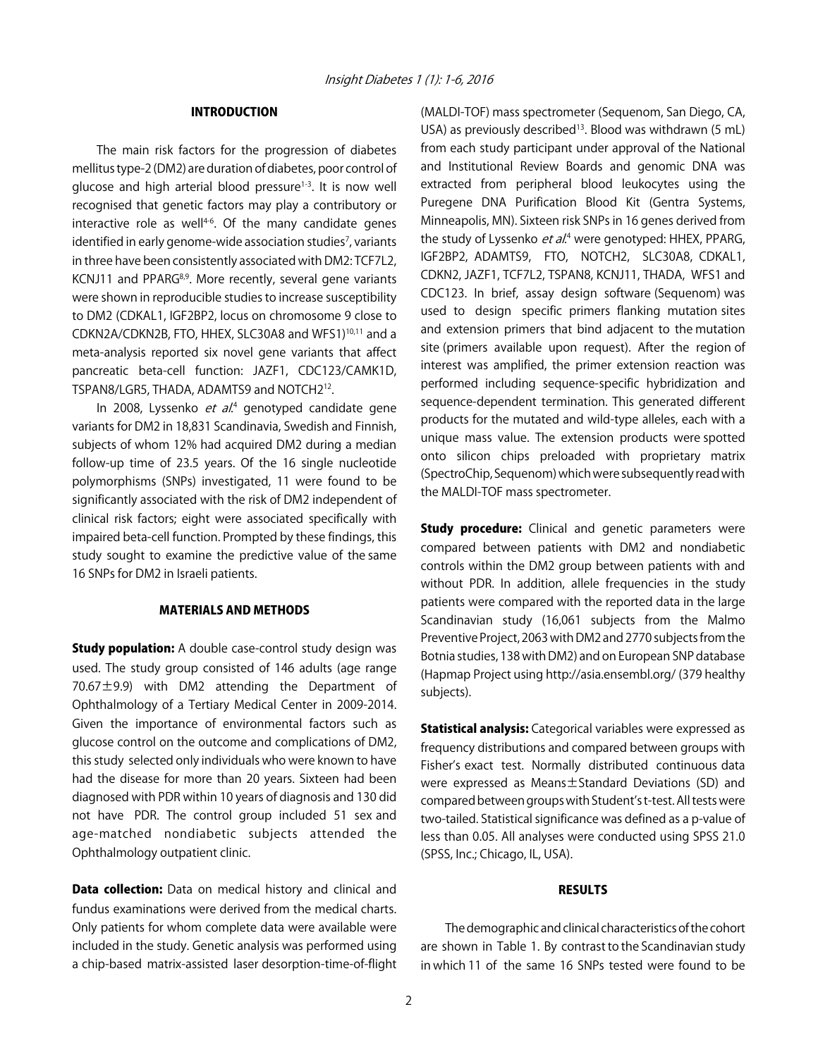# INTRODUCTION

The main risk factors for the progression of diabetes mellitus type-2 (DM2) are duration of diabetes, poor control of glucose and high arterial blood pressure1-3. It is now well recognised that genetic factors may play a contributory or interactive role as well $4-6$ . Of the many candidate genes identified in early genome-wide association studies<sup>7</sup>, variants in three have been consistently associated with DM2: TCF7L2, KCNJ11 and PPARG<sup>8,9</sup>. More recently, several gene variants were shown in reproducible studies to increase susceptibility to DM2 (CDKAL1, IGF2BP2, locus on chromosome 9 close to CDKN2A/CDKN2B, FTO, HHEX, SLC30A8 and WFS1)10,11 and a meta-analysis reported six novel gene variants that affect pancreatic beta-cell function: JAZF1, CDC123/CAMK1D, TSPAN8/LGR5, THADA, ADAMTS9 and NOTCH212.

In 2008, Lyssenko *et al*.<sup>4</sup> genotyped candidate gene variants for DM2 in 18,831 Scandinavia, Swedish and Finnish, subjects of whom 12% had acquired DM2 during a median follow-up time of 23.5 years. Of the 16 single nucleotide polymorphisms (SNPs) investigated, 11 were found to be significantly associated with the risk of DM2 independent of clinical risk factors; eight were associated specifically with impaired beta-cell function. Prompted by these findings, this study sought to examine the predictive value of the same 16 SNPs for DM2 in Israeli patients.

# MATERIALS AND METHODS

**Study population:** A double case-control study design was used. The study group consisted of 146 adults (age range 70.67±9.9) with DM2 attending the Department of Ophthalmology of a Tertiary Medical Center in 2009-2014. Given the importance of environmental factors such as glucose control on the outcome and complications of DM2, this study selected only individuals who were known to have had the disease for more than 20 years. Sixteen had been diagnosed with PDR within 10 years of diagnosis and 130 did not have PDR. The control group included 51 sex and age-matched nondiabetic subjects attended the Ophthalmology outpatient clinic.

Data collection: Data on medical history and clinical and fundus examinations were derived from the medical charts. Only patients for whom complete data were available were included in the study. Genetic analysis was performed using a chip-based matrix-assisted laser desorption-time-of-flight (MALDI-TOF) mass spectrometer (Sequenom, San Diego, CA, USA) as previously described<sup>13</sup>. Blood was withdrawn (5 mL) from each study participant under approval of the National and Institutional Review Boards and genomic DNA was extracted from peripheral blood leukocytes using the Puregene DNA Purification Blood Kit (Gentra Systems, Minneapolis, MN). Sixteen risk SNPs in 16 genes derived from the study of Lyssenko *et al*.<sup>4</sup> were genotyped: HHEX, PPARG, IGF2BP2, ADAMTS9, FTO, NOTCH2, SLC30A8, CDKAL1, CDKN2, JAZF1, TCF7L2, TSPAN8, KCNJ11, THADA, WFS1 and CDC123. In brief, assay design software (Sequenom) was used to design specific primers flanking mutation sites and extension primers that bind adjacent to the mutation site (primers available upon request). After the region of interest was amplified, the primer extension reaction was performed including sequence-specific hybridization and sequence-dependent termination. This generated different products for the mutated and wild-type alleles, each with a unique mass value. The extension products were spotted onto silicon chips preloaded with proprietary matrix (SpectroChip, Sequenom) which were subsequently read with the MALDI-TOF mass spectrometer.

**Study procedure:** Clinical and genetic parameters were compared between patients with DM2 and nondiabetic controls within the DM2 group between patients with and without PDR. In addition, allele frequencies in the study patients were compared with the reported data in the large Scandinavian study (16,061 subjects from the Malmo Preventive Project, 2063 with DM2 and 2770 subjects from the Botnia studies, 138 with DM2) and on European SNP database (Hapmap Project using http://asia.ensembl.org/ (379 healthy subjects).

**Statistical analysis:** Categorical variables were expressed as frequency distributions and compared between groups with Fisher's exact test. Normally distributed continuous data were expressed as Means±Standard Deviations (SD) and compared between groups with Student's t-test. All tests were two-tailed. Statistical significance was defined as a p-value of less than 0.05. All analyses were conducted using SPSS 21.0 (SPSS, Inc.; Chicago, IL, USA).

# RESULTS

The demographic and clinical characteristics of the cohort are shown in Table 1. By contrast to the Scandinavian study in which 11 of the same 16 SNPs tested were found to be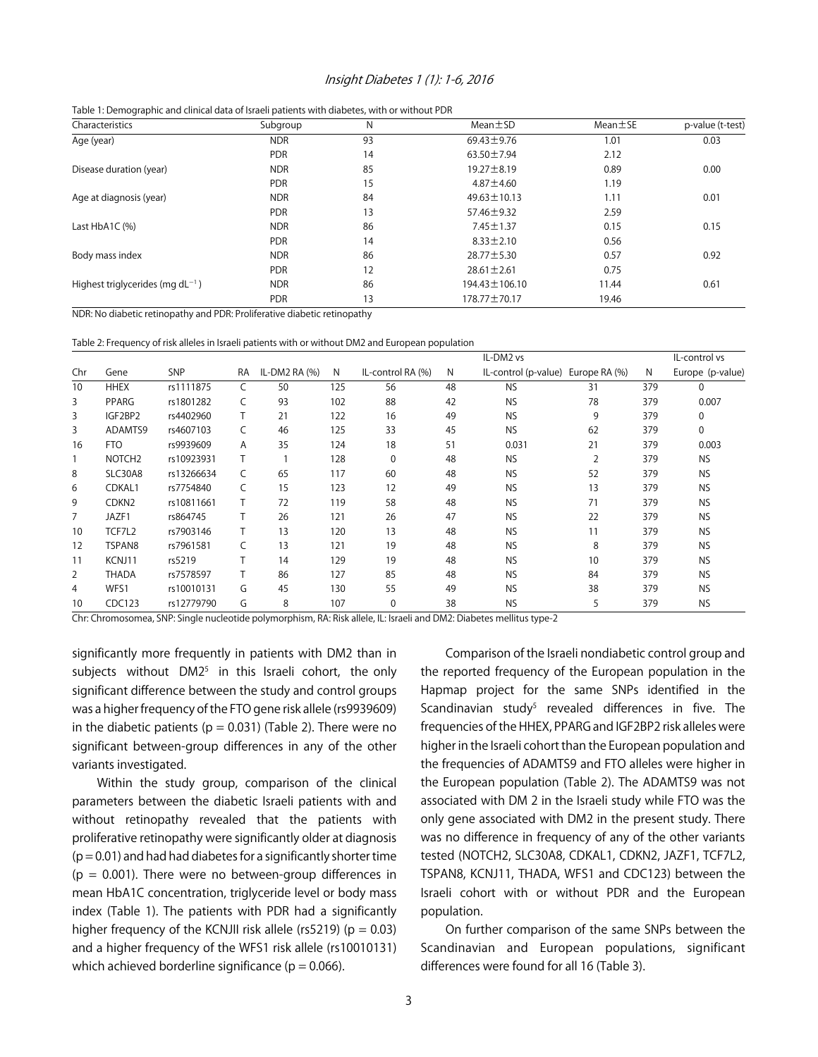#### Insight Diabetes 1 (1): 1-6, 2016

| Characteristics                       | Subgroup   | N  | $Mean \pm SD$     | $Mean \pm SE$ | p-value (t-test) |
|---------------------------------------|------------|----|-------------------|---------------|------------------|
| Age (year)                            | <b>NDR</b> | 93 | $69.43 \pm 9.76$  | 1.01          | 0.03             |
|                                       | <b>PDR</b> | 14 | 63.50 ± 7.94      | 2.12          |                  |
| Disease duration (year)               | <b>NDR</b> | 85 | $19.27 \pm 8.19$  | 0.89          | 0.00             |
|                                       | <b>PDR</b> | 15 | $4.87 \pm 4.60$   | 1.19          |                  |
| Age at diagnosis (year)               | <b>NDR</b> | 84 | $49.63 \pm 10.13$ | 1.11          | 0.01             |
|                                       | <b>PDR</b> | 13 | 57.46±9.32        | 2.59          |                  |
| Last HbA1C (%)                        | <b>NDR</b> | 86 | $7.45 \pm 1.37$   | 0.15          | 0.15             |
|                                       | <b>PDR</b> | 14 | $8.33 \pm 2.10$   | 0.56          |                  |
| Body mass index                       | <b>NDR</b> | 86 | $28.77 \pm 5.30$  | 0.57          | 0.92             |
|                                       | <b>PDR</b> | 12 | $28.61 \pm 2.61$  | 0.75          |                  |
| Highest triglycerides (mg $dL^{-1}$ ) | <b>NDR</b> | 86 | 194.43 ± 106.10   | 11.44         | 0.61             |
|                                       | <b>PDR</b> | 13 | 178.77 ± 70.17    | 19.46         |                  |

NDR: No diabetic retinopathy and PDR: Proliferative diabetic retinopathy

Table 2: Frequency of risk alleles in Israeli patients with or without DM2 and European population

|     |                    |            |           |                 |     |                   |    | IL-DM2 vs                          |                |     | IL-control vs    |
|-----|--------------------|------------|-----------|-----------------|-----|-------------------|----|------------------------------------|----------------|-----|------------------|
| Chr | Gene               | SNP        | <b>RA</b> | IL-DM2 RA $(%)$ | N   | IL-control RA (%) | N  | IL-control (p-value) Europe RA (%) |                | N   | Europe (p-value) |
| 10  | <b>HHEX</b>        | rs1111875  | C         | 50              | 125 | 56                | 48 | <b>NS</b>                          | 31             | 379 | $\Omega$         |
| 3   | PPARG              | rs1801282  | C         | 93              | 102 | 88                | 42 | <b>NS</b>                          | 78             | 379 | 0.007            |
| 3   | IGF2BP2            | rs4402960  | T.        | 21              | 122 | 16                | 49 | <b>NS</b>                          | 9              | 379 | 0                |
| 3   | ADAMTS9            | rs4607103  | C         | 46              | 125 | 33                | 45 | <b>NS</b>                          | 62             | 379 | 0                |
| 16  | <b>FTO</b>         | rs9939609  | A         | 35              | 124 | 18                | 51 | 0.031                              | 21             | 379 | 0.003            |
|     | NOTCH <sub>2</sub> | rs10923931 |           |                 | 128 | $\mathbf 0$       | 48 | <b>NS</b>                          | $\overline{2}$ | 379 | <b>NS</b>        |
| 8   | SLC30A8            | rs13266634 | C         | 65              | 117 | 60                | 48 | <b>NS</b>                          | 52             | 379 | <b>NS</b>        |
| 6   | CDKAL1             | rs7754840  | C         | 15              | 123 | 12                | 49 | <b>NS</b>                          | 13             | 379 | <b>NS</b>        |
| 9   | CDKN <sub>2</sub>  | rs10811661 | Τ         | 72              | 119 | 58                | 48 | <b>NS</b>                          | 71             | 379 | <b>NS</b>        |
| 7   | JAZF1              | rs864745   | T         | 26              | 121 | 26                | 47 | <b>NS</b>                          | 22             | 379 | <b>NS</b>        |
| 10  | TCF7L2             | rs7903146  | T         | 13              | 120 | 13                | 48 | <b>NS</b>                          | 11             | 379 | <b>NS</b>        |
| 12  | TSPAN8             | rs7961581  | C         | 13              | 121 | 19                | 48 | <b>NS</b>                          | 8              | 379 | <b>NS</b>        |
| 11  | KCNJ11             | rs5219     | т         | 14              | 129 | 19                | 48 | <b>NS</b>                          | 10             | 379 | <b>NS</b>        |
| 2   | <b>THADA</b>       | rs7578597  | T         | 86              | 127 | 85                | 48 | <b>NS</b>                          | 84             | 379 | <b>NS</b>        |
| 4   | WFS1               | rs10010131 | G         | 45              | 130 | 55                | 49 | <b>NS</b>                          | 38             | 379 | <b>NS</b>        |
| 10  | CDC123             | rs12779790 | G         | 8               | 107 | $\mathbf 0$       | 38 | <b>NS</b>                          | 5              | 379 | <b>NS</b>        |

Chr: Chromosomea, SNP: Single nucleotide polymorphism, RA: Risk allele, IL: Israeli and DM2: Diabetes mellitus type-2

significantly more frequently in patients with DM2 than in subjects without DM2<sup>5</sup> in this Israeli cohort, the only significant difference between the study and control groups was a higher frequency of the FTO gene risk allele (rs9939609) in the diabetic patients ( $p = 0.031$ ) (Table 2). There were no significant between-group differences in any of the other variants investigated.

Within the study group, comparison of the clinical parameters between the diabetic Israeli patients with and without retinopathy revealed that the patients with proliferative retinopathy were significantly older at diagnosis  $(p = 0.01)$  and had had diabetes for a significantly shorter time ( $p = 0.001$ ). There were no between-group differences in mean HbA1C concentration, triglyceride level or body mass index (Table 1). The patients with PDR had a significantly higher frequency of the KCNJII risk allele (rs5219) ( $p = 0.03$ ) and a higher frequency of the WFS1 risk allele (rs10010131) which achieved borderline significance ( $p = 0.066$ ).

Comparison of the Israeli nondiabetic control group and the reported frequency of the European population in the Hapmap project for the same SNPs identified in the Scandinavian study<sup>5</sup> revealed differences in five. The frequencies of the HHEX, PPARG and IGF2BP2 risk alleles were higher in the Israeli cohort than the European population and the frequencies of ADAMTS9 and FTO alleles were higher in the European population (Table 2). The ADAMTS9 was not associated with DM 2 in the Israeli study while FTO was the only gene associated with DM2 in the present study. There was no difference in frequency of any of the other variants tested (NOTCH2, SLC30A8, CDKAL1, CDKN2, JAZF1, TCF7L2, TSPAN8, KCNJ11, THADA, WFS1 and CDC123) between the Israeli cohort with or without PDR and the European population.

On further comparison of the same SNPs between the Scandinavian and European populations, significant differences were found for all 16 (Table 3).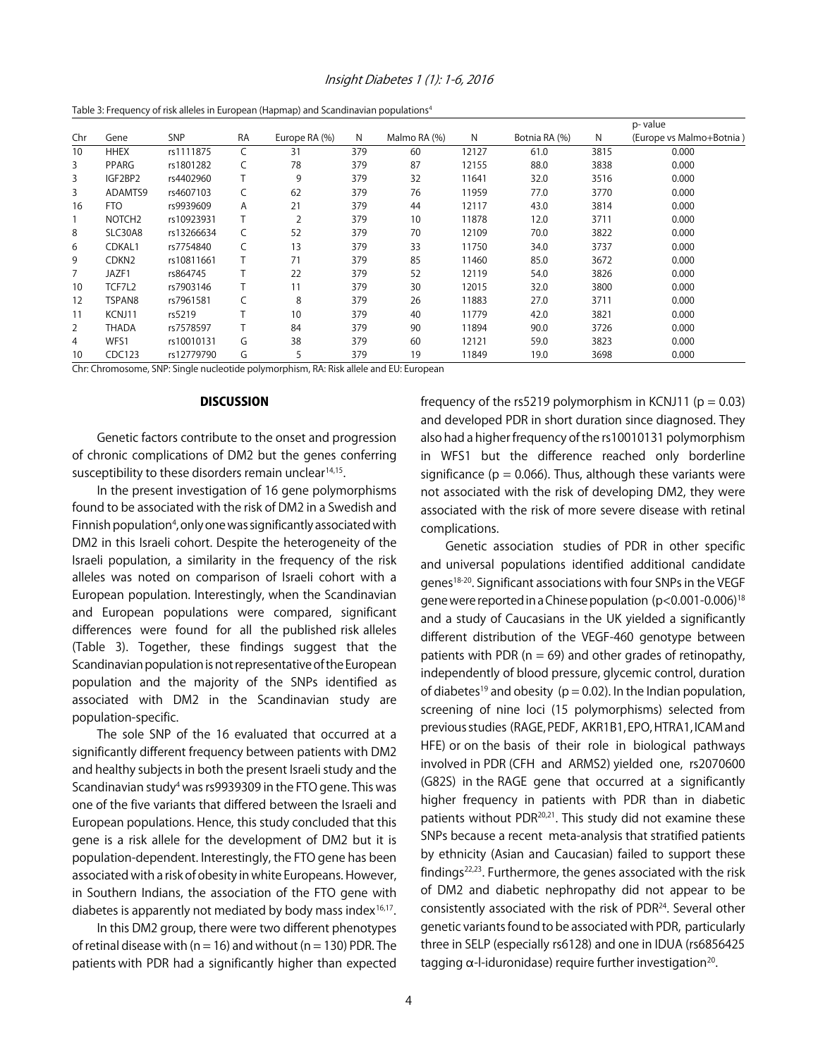| Table 3: Frequency of risk alleles in European (Hapmap) and Scandinavian populations <sup>4</sup> |  |
|---------------------------------------------------------------------------------------------------|--|
|---------------------------------------------------------------------------------------------------|--|

|     |                    |            |           |               |     |              |       |               |      | p-value                  |  |
|-----|--------------------|------------|-----------|---------------|-----|--------------|-------|---------------|------|--------------------------|--|
| Chr | Gene               | SNP        | <b>RA</b> | Europe RA (%) | N   | Malmo RA (%) | N     | Botnia RA (%) | N    | (Europe vs Malmo+Botnia) |  |
| 10  | <b>HHEX</b>        | rs1111875  |           | 31            | 379 | 60           | 12127 | 61.0          | 3815 | 0.000                    |  |
| 3   | PPARG              | rs1801282  | C         | 78            | 379 | 87           | 12155 | 88.0          | 3838 | 0.000                    |  |
| 3   | IGF2BP2            | rs4402960  |           | 9             | 379 | 32           | 11641 | 32.0          | 3516 | 0.000                    |  |
| 3   | ADAMTS9            | rs4607103  |           | 62            | 379 | 76           | 11959 | 77.0          | 3770 | 0.000                    |  |
| 16  | <b>FTO</b>         | rs9939609  | A         | 21            | 379 | 44           | 12117 | 43.0          | 3814 | 0.000                    |  |
|     | NOTCH <sub>2</sub> | rs10923931 |           | 2             | 379 | 10           | 11878 | 12.0          | 3711 | 0.000                    |  |
| 8   | SLC30A8            | rs13266634 | C         | 52            | 379 | 70           | 12109 | 70.0          | 3822 | 0.000                    |  |
| 6   | CDKAL1             | rs7754840  |           | 13            | 379 | 33           | 11750 | 34.0          | 3737 | 0.000                    |  |
| 9   | CDKN <sub>2</sub>  | rs10811661 |           | 71            | 379 | 85           | 11460 | 85.0          | 3672 | 0.000                    |  |
| 7   | JAZF1              | rs864745   |           | 22            | 379 | 52           | 12119 | 54.0          | 3826 | 0.000                    |  |
| 10  | TCF7L2             | rs7903146  |           | 11            | 379 | 30           | 12015 | 32.0          | 3800 | 0.000                    |  |
| 12  | TSPAN8             | rs7961581  |           | 8             | 379 | 26           | 11883 | 27.0          | 3711 | 0.000                    |  |
| 11  | KCNJ11             | rs5219     |           | 10            | 379 | 40           | 11779 | 42.0          | 3821 | 0.000                    |  |
| 2   | THADA              | rs7578597  |           | 84            | 379 | 90           | 11894 | 90.0          | 3726 | 0.000                    |  |
| 4   | WFS1               | rs10010131 | G         | 38            | 379 | 60           | 12121 | 59.0          | 3823 | 0.000                    |  |
| 10  | CDC123             | rs12779790 | G         | 5             | 379 | 19           | 11849 | 19.0          | 3698 | 0.000                    |  |

Chr: Chromosome, SNP: Single nucleotide polymorphism, RA: Risk allele and EU: European

#### **DISCUSSION**

Genetic factors contribute to the onset and progression of chronic complications of DM2 but the genes conferring susceptibility to these disorders remain unclear<sup>14,15</sup>.

In the present investigation of 16 gene polymorphisms found to be associated with the risk of DM2 in a Swedish and Finnish population<sup>4</sup>, only one was significantly associated with DM2 in this Israeli cohort. Despite the heterogeneity of the Israeli population, a similarity in the frequency of the risk alleles was noted on comparison of Israeli cohort with a European population. Interestingly, when the Scandinavian and European populations were compared, significant differences were found for all the published risk alleles (Table 3). Together, these findings suggest that the Scandinavian population is not representative of the European population and the majority of the SNPs identified as associated with DM2 in the Scandinavian study are population-specific.

The sole SNP of the 16 evaluated that occurred at a significantly different frequency between patients with DM2 and healthy subjects in both the present Israeli study and the Scandinavian study<sup>4</sup> was rs9939309 in the FTO gene. This was one of the five variants that differed between the Israeli and European populations. Hence, this study concluded that this gene is a risk allele for the development of DM2 but it is population-dependent. Interestingly, the FTO gene has been associated with a risk of obesity in white Europeans. However, in Southern Indians, the association of the FTO gene with diabetes is apparently not mediated by body mass index $16,17$ .

In this DM2 group, there were two different phenotypes of retinal disease with ( $n = 16$ ) and without ( $n = 130$ ) PDR. The patients with PDR had a significantly higher than expected frequency of the rs5219 polymorphism in KCNJ11 ( $p = 0.03$ ) and developed PDR in short duration since diagnosed. They also had a higher frequency of the rs10010131 polymorphism in WFS1 but the difference reached only borderline significance ( $p = 0.066$ ). Thus, although these variants were not associated with the risk of developing DM2, they were associated with the risk of more severe disease with retinal complications.

Genetic association studies of PDR in other specific and universal populations identified additional candidate genes18-20. Significant associations with four SNPs in the VEGF gene were reported in a Chinese population (p<0.001-0.006)18 and a study of Caucasians in the UK yielded a significantly different distribution of the VEGF-460 genotype between patients with PDR ( $n = 69$ ) and other grades of retinopathy, independently of blood pressure, glycemic control, duration of diabetes<sup>19</sup> and obesity ( $p = 0.02$ ). In the Indian population, screening of nine loci (15 polymorphisms) selected from previous studies (RAGE, PEDF, AKR1B1, EPO, HTRA1, ICAM and HFE) or on the basis of their role in biological pathways involved in PDR (CFH and ARMS2) yielded one, rs2070600 (G82S) in the RAGE gene that occurred at a significantly higher frequency in patients with PDR than in diabetic patients without PDR20,21. This study did not examine these SNPs because a recent meta-analysis that stratified patients by ethnicity (Asian and Caucasian) failed to support these findings<sup>22,23</sup>. Furthermore, the genes associated with the risk of DM2 and diabetic nephropathy did not appear to be consistently associated with the risk of PDR24. Several other genetic variants found to be associated with PDR, particularly three in SELP (especially rs6128) and one in IDUA (rs6856425 tagging  $\alpha$ -l-iduronidase) require further investigation<sup>20</sup>.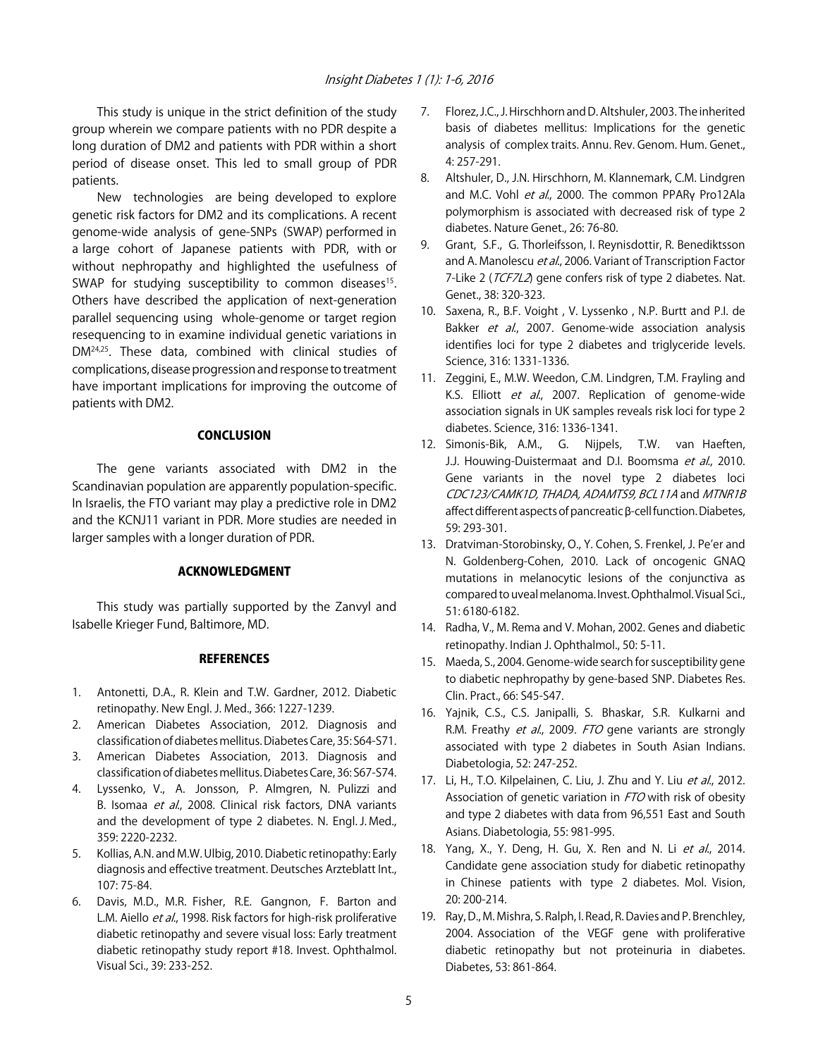This study is unique in the strict definition of the study group wherein we compare patients with no PDR despite a long duration of DM2 and patients with PDR within a short period of disease onset. This led to small group of PDR patients.

New technologies are being developed to explore genetic risk factors for DM2 and its complications. A recent genome-wide analysis of gene-SNPs (SWAP) performed in a large cohort of Japanese patients with PDR, with or without nephropathy and highlighted the usefulness of SWAP for studying susceptibility to common diseases<sup>15</sup>. Others have described the application of next-generation parallel sequencing using whole-genome or target region resequencing to in examine individual genetic variations in DM24,25. These data, combined with clinical studies of complications, disease progression and response to treatment have important implications for improving the outcome of patients with DM2.

## **CONCLUSION**

The gene variants associated with DM2 in the Scandinavian population are apparently population-specific. In Israelis, the FTO variant may play a predictive role in DM2 and the KCNJ11 variant in PDR. More studies are needed in larger samples with a longer duration of PDR.

# ACKNOWLEDGMENT

This study was partially supported by the Zanvyl and Isabelle Krieger Fund, Baltimore, MD.

#### **REFERENCES**

- 1. Antonetti, D.A., R. Klein and T.W. Gardner, 2012. Diabetic retinopathy. New Engl. J. Med., 366: 1227-1239.
- 2. American Diabetes Association, 2012. Diagnosis and classification of diabetes mellitus. Diabetes Care, 35: S64-S71.
- 3. American Diabetes Association, 2013. Diagnosis and classification of diabetes mellitus. Diabetes Care, 36: S67-S74.
- 4. Lyssenko, V., A. Jonsson, P. Almgren, N. Pulizzi and B. Isomaa et al., 2008. Clinical risk factors, DNA variants and the development of type 2 diabetes. N. Engl. J. Med., 359: 2220-2232.
- 5. Kollias, A.N. and M.W. Ulbig, 2010. Diabetic retinopathy: Early diagnosis and effective treatment. Deutsches Arzteblatt Int., 107: 75-84.
- 6. Davis, M.D., M.R. Fisher, R.E. Gangnon, F. Barton and L.M. Aiello et al., 1998. Risk factors for high-risk proliferative diabetic retinopathy and severe visual loss: Early treatment diabetic retinopathy study report #18. Invest. Ophthalmol. Visual Sci., 39: 233-252.
- 7. Florez, J.C., J. Hirschhorn and D. Altshuler, 2003. The inherited basis of diabetes mellitus: Implications for the genetic analysis of complex traits. Annu. Rev. Genom. Hum. Genet., 4: 257-291.
- 8. Altshuler, D., J.N. Hirschhorn, M. Klannemark, C.M. Lindgren and M.C. Vohl et al., 2000. The common PPARy Pro12Ala polymorphism is associated with decreased risk of type 2 diabetes. Nature Genet., 26: 76-80.
- 9. Grant, S.F., G. Thorleifsson, I. Reynisdottir, R. Benediktsson and A. Manolescu et al., 2006. Variant of Transcription Factor 7-Like 2 (TCF7L2) gene confers risk of type 2 diabetes. Nat. Genet., 38: 320-323.
- 10. Saxena, R., B.F. Voight , V. Lyssenko , N.P. Burtt and P.I. de Bakker et al., 2007. Genome-wide association analysis identifies loci for type 2 diabetes and triglyceride levels. Science, 316: 1331-1336.
- 11. Zeggini, E., M.W. Weedon, C.M. Lindgren, T.M. Frayling and K.S. Elliott et al., 2007. Replication of genome-wide association signals in UK samples reveals risk loci for type 2 diabetes. Science, 316: 1336-1341.
- 12. Simonis-Bik, A.M., G. Nijpels, T.W. van Haeften, J.J. Houwing-Duistermaat and D.I. Boomsma et al., 2010. Gene variants in the novel type 2 diabetes loci CDC123/CAMK1D, THADA, ADAMTS9, BCL11A and MTNR1B affect different aspects of pancreatic β-cell function. Diabetes, 59: 293-301.
- 13. Dratviman-Storobinsky, O., Y. Cohen, S. Frenkel, J. Pe'er and N. Goldenberg-Cohen, 2010. Lack of oncogenic GNAQ mutations in melanocytic lesions of the conjunctiva as compared to uveal melanoma. Invest. Ophthalmol. Visual Sci., 51: 6180-6182.
- 14. Radha, V., M. Rema and V. Mohan, 2002. Genes and diabetic retinopathy. Indian J. Ophthalmol., 50: 5-11.
- 15. Maeda, S., 2004. Genome-wide search for susceptibility gene to diabetic nephropathy by gene-based SNP. Diabetes Res. Clin. Pract., 66: S45-S47.
- 16. Yajnik, C.S., C.S. Janipalli, S. Bhaskar, S.R. Kulkarni and R.M. Freathy et al., 2009. FTO gene variants are strongly associated with type 2 diabetes in South Asian Indians. Diabetologia, 52: 247-252.
- 17. Li, H., T.O. Kilpelainen, C. Liu, J. Zhu and Y. Liu et al., 2012. Association of genetic variation in FTO with risk of obesity and type 2 diabetes with data from 96,551 East and South Asians. Diabetologia, 55: 981-995.
- 18. Yang, X., Y. Deng, H. Gu, X. Ren and N. Li et al., 2014. Candidate gene association study for diabetic retinopathy in Chinese patients with type 2 diabetes. Mol. Vision, 20: 200-214.
- 19. Ray, D., M. Mishra, S. Ralph, I. Read, R. Davies and P. Brenchley, 2004. Association of the VEGF gene with proliferative diabetic retinopathy but not proteinuria in diabetes. Diabetes, 53: 861-864.